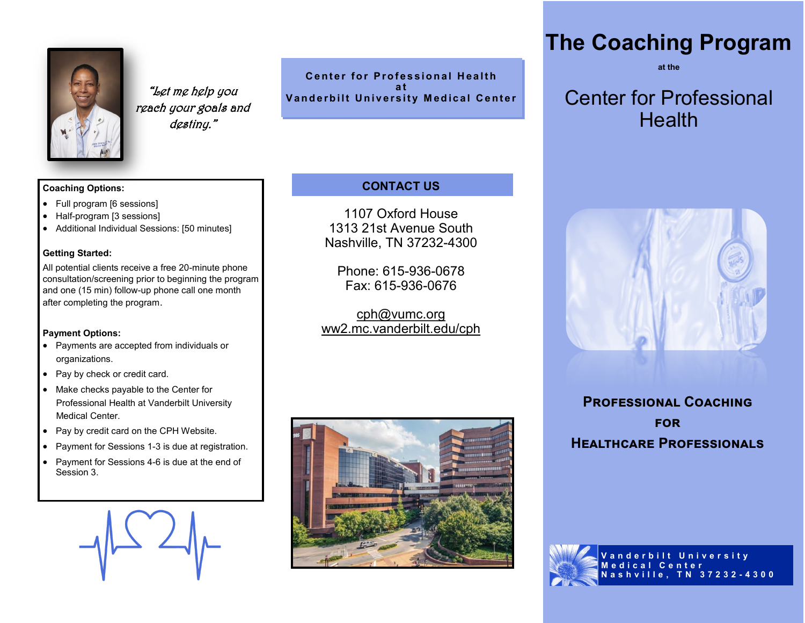

"Let me help you reach your goals and destiny."

Center for Professional Health **a t Vanderbilt University Medical Center** 

# **CONTACT US**

1107 Oxford House 1313 21st Avenue South Nashville, TN 37232-4300

Phone: 615-936-0678 Fax: 615-936-0676

cph@vumc.org ww2.mc.vanderbilt.edu/cph



# **The Coaching Program**

**at the**

# Center for Professional Health



**Professional Coaching for Healthcare Professionals**



#### **Coaching Options:**

- Full program [6 sessions]
- Half-program [3 sessions]
- Additional Individual Sessions: [50 minutes]

#### **Getting Started:**

All potential clients receive a free 20-minute phone consultation/screening prior to beginning the program and one (15 min) follow-up phone call one month after completing the program.

#### **Payment Options:**

- Payments are accepted from individuals or organizations.
- Pay by check or credit card.
- Make checks payable to the Center for Professional Health at Vanderbilt University Medical Center.
- Pay by credit card on the CPH Website.
- Payment for Sessions 1-3 is due at registration.
- Payment for Sessions 4-6 is due at the end of Session 3.